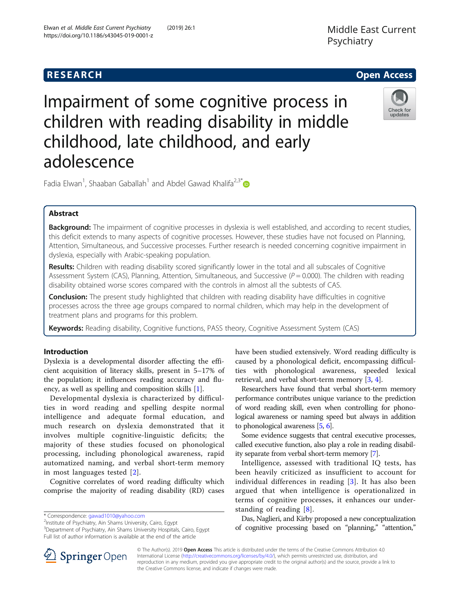# **RESEARCH CHE Open Access**



Impairment of some cognitive process in children with reading disability in middle childhood, late childhood, and early adolescence

Fadia Elwan<sup>1</sup>, Shaaban Gaballah<sup>1</sup> and Abdel Gawad Khalifa<sup>2,3\*</sup>

## Abstract

Background: The impairment of cognitive processes in dyslexia is well established, and according to recent studies, this deficit extends to many aspects of cognitive processes. However, these studies have not focused on Planning, Attention, Simultaneous, and Successive processes. Further research is needed concerning cognitive impairment in dyslexia, especially with Arabic-speaking population.

Results: Children with reading disability scored significantly lower in the total and all subscales of Cognitive Assessment System (CAS), Planning, Attention, Simultaneous, and Successive ( $P = 0.000$ ). The children with reading disability obtained worse scores compared with the controls in almost all the subtests of CAS.

**Conclusion:** The present study highlighted that children with reading disability have difficulties in cognitive processes across the three age groups compared to normal children, which may help in the development of treatment plans and programs for this problem.

Keywords: Reading disability, Cognitive functions, PASS theory, Cognitive Assessment System (CAS)

## Introduction

Dyslexia is a developmental disorder affecting the efficient acquisition of literacy skills, present in 5–17% of the population; it influences reading accuracy and fluency, as well as spelling and composition skills [\[1\]](#page-5-0).

Developmental dyslexia is characterized by difficulties in word reading and spelling despite normal intelligence and adequate formal education, and much research on dyslexia demonstrated that it involves multiple cognitive-linguistic deficits; the majority of these studies focused on phonological processing, including phonological awareness, rapid automatized naming, and verbal short-term memory in most languages tested [[2\]](#page-5-0).

Cognitive correlates of word reading difficulty which comprise the majority of reading disability (RD) cases

\* Correspondence: [gawad1010@yahoo.com](mailto:gawad1010@yahoo.com) <sup>2</sup>

<sup>2</sup>Institute of Psychiatry, Ain Shams University, Cairo, Egypt

<sup>3</sup>Department of Psychiatry, Ain Shams University Hospitals, Cairo, Egypt Full list of author information is available at the end of the article

have been studied extensively. Word reading difficulty is caused by a phonological deficit, encompassing difficulties with phonological awareness, speeded lexical retrieval, and verbal short-term memory [[3,](#page-5-0) [4\]](#page-5-0).

Researchers have found that verbal short-term memory performance contributes unique variance to the prediction of word reading skill, even when controlling for phonological awareness or naming speed but always in addition to phonological awareness [\[5,](#page-5-0) [6](#page-5-0)].

Some evidence suggests that central executive processes, called executive function, also play a role in reading disability separate from verbal short-term memory [\[7](#page-5-0)].

Intelligence, assessed with traditional IQ tests, has been heavily criticized as insufficient to account for individual differences in reading [\[3](#page-5-0)]. It has also been argued that when intelligence is operationalized in terms of cognitive processes, it enhances our understanding of reading [[8](#page-5-0)].

Das, Naglieri, and Kirby proposed a new conceptualization of cognitive processing based on "planning," "attention,"



© The Author(s). 2019 Open Access This article is distributed under the terms of the Creative Commons Attribution 4.0 International License ([http://creativecommons.org/licenses/by/4.0/\)](http://creativecommons.org/licenses/by/4.0/), which permits unrestricted use, distribution, and reproduction in any medium, provided you give appropriate credit to the original author(s) and the source, provide a link to the Creative Commons license, and indicate if changes were made.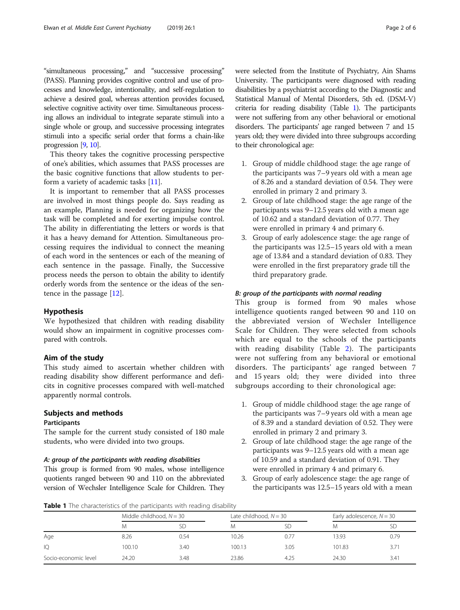"simultaneous processing," and "successive processing" (PASS). Planning provides cognitive control and use of processes and knowledge, intentionality, and self-regulation to achieve a desired goal, whereas attention provides focused, selective cognitive activity over time. Simultaneous processing allows an individual to integrate separate stimuli into a single whole or group, and successive processing integrates stimuli into a specific serial order that forms a chain-like progression [\[9,](#page-5-0) [10](#page-5-0)].

This theory takes the cognitive processing perspective of one's abilities, which assumes that PASS processes are the basic cognitive functions that allow students to perform a variety of academic tasks [[11\]](#page-5-0).

It is important to remember that all PASS processes are involved in most things people do. Says reading as an example, Planning is needed for organizing how the task will be completed and for exerting impulse control. The ability in differentiating the letters or words is that it has a heavy demand for Attention. Simultaneous processing requires the individual to connect the meaning of each word in the sentences or each of the meaning of each sentence in the passage. Finally, the Successive process needs the person to obtain the ability to identify orderly words from the sentence or the ideas of the sentence in the passage [\[12\]](#page-5-0).

## Hypothesis

We hypothesized that children with reading disability would show an impairment in cognitive processes compared with controls.

## Aim of the study

This study aimed to ascertain whether children with reading disability show different performance and deficits in cognitive processes compared with well-matched apparently normal controls.

## Subjects and methods

## **Participants**

The sample for the current study consisted of 180 male students, who were divided into two groups.

### A: group of the participants with reading disabilities

This group is formed from 90 males, whose intelligence quotients ranged between 90 and 110 on the abbreviated version of Wechsler Intelligence Scale for Children. They were selected from the Institute of Psychiatry, Ain Shams University. The participants were diagnosed with reading disabilities by a psychiatrist according to the Diagnostic and Statistical Manual of Mental Disorders, 5th ed. (DSM-V) criteria for reading disability (Table 1). The participants were not suffering from any other behavioral or emotional disorders. The participants' age ranged between 7 and 15 years old; they were divided into three subgroups according to their chronological age:

- 1. Group of middle childhood stage: the age range of the participants was 7–9 years old with a mean age of 8.26 and a standard deviation of 0.54. They were enrolled in primary 2 and primary 3.
- 2. Group of late childhood stage: the age range of the participants was 9–12.5 years old with a mean age of 10.62 and a standard deviation of 0.77. They were enrolled in primary 4 and primary 6.
- 3. Group of early adolescence stage: the age range of the participants was 12.5–15 years old with a mean age of 13.84 and a standard deviation of 0.83. They were enrolled in the first preparatory grade till the third preparatory grade.

## B: group of the participants with normal reading

This group is formed from 90 males whose intelligence quotients ranged between 90 and 110 on the abbreviated version of Wechsler Intelligence Scale for Children. They were selected from schools which are equal to the schools of the participants with reading disability (Table [2](#page-2-0)). The participants were not suffering from any behavioral or emotional disorders. The participants' age ranged between 7 and 15 years old; they were divided into three subgroups according to their chronological age:

- 1. Group of middle childhood stage: the age range of the participants was 7–9 years old with a mean age of 8.39 and a standard deviation of 0.52. They were enrolled in primary 2 and primary 3.
- 2. Group of late childhood stage: the age range of the participants was 9–12.5 years old with a mean age of 10.59 and a standard deviation of 0.91. They were enrolled in primary 4 and primary 6.
- 3. Group of early adolescence stage: the age range of the participants was 12.5–15 years old with a mean

Table 1 The characteristics of the participants with reading disability

|                      | Middle childhood, $N = 30$ |      | Late childhood, $N = 30$ |           | Early adolescence, $N = 30$ |      |
|----------------------|----------------------------|------|--------------------------|-----------|-----------------------------|------|
|                      | M                          | SD   | Μ                        | <b>SD</b> | M                           | SD   |
| Age                  | 8.26                       | 0.54 | 10.26                    | 0.77      | 13.93                       | 0.79 |
| IQ                   | 100.10                     | 3.40 | 100.13                   | 3.05      | 101.83                      | 3.71 |
| Socio-economic level | 24.20                      | 3.48 | 23.86                    | 4.25      | 24.30                       | 3.41 |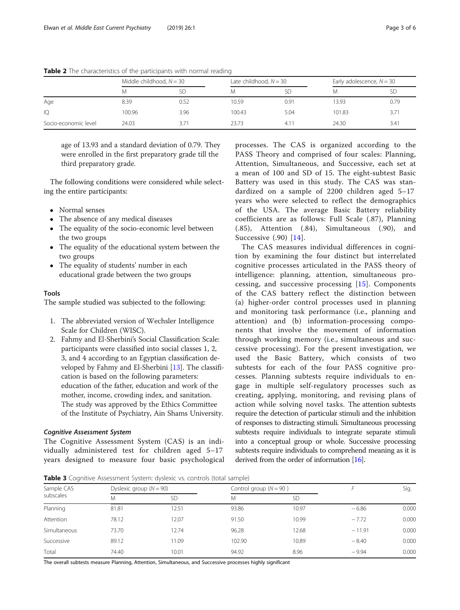|                      | Middle childhood, $N = 30$ |      | Late childhood, $N = 30$ |      | Early adolescence, $N = 30$ |      |
|----------------------|----------------------------|------|--------------------------|------|-----------------------------|------|
|                      | M                          | SD   | Μ                        |      | M                           | SD   |
| Age                  | 8.39                       | 0.52 | 10.59                    | 0.91 | 13.93                       | 0.79 |
| IQ                   | 100.96                     | 3.96 | 100.43                   | 5.04 | 101.83                      | 3.71 |
| Socio-economic level | 24.03                      | 3.71 | 23.73                    | 4.1  | 24.30                       | 3.41 |

<span id="page-2-0"></span>Table 2 The characteristics of the participants with normal reading

age of 13.93 and a standard deviation of 0.79. They were enrolled in the first preparatory grade till the third preparatory grade.

The following conditions were considered while selecting the entire participants:

- Normal senses
- The absence of any medical diseases
- The equality of the socio-economic level between the two groups
- The equality of the educational system between the two groups
- The equality of students' number in each educational grade between the two groups

## Tools

The sample studied was subjected to the following:

- 1. The abbreviated version of Wechsler Intelligence Scale for Children (WISC).
- 2. Fahmy and El-Sherbini's Social Classification Scale: participants were classified into social classes 1, 2, 3, and 4 according to an Egyptian classification developed by Fahmy and El-Sherbini [[13](#page-5-0)]. The classification is based on the following parameters: education of the father, education and work of the mother, income, crowding index, and sanitation. The study was approved by the Ethics Committee of the Institute of Psychiatry, Ain Shams University.

## Cognitive Assessment System

The Cognitive Assessment System (CAS) is an individually administered test for children aged 5–17 years designed to measure four basic psychological

processes. The CAS is organized according to the PASS Theory and comprised of four scales: Planning, Attention, Simultaneous, and Successive, each set at a mean of 100 and SD of 15. The eight-subtest Basic Battery was used in this study. The CAS was standardized on a sample of 2200 children aged 5–17 years who were selected to reflect the demographics of the USA. The average Basic Battery reliability coefficients are as follows: Full Scale (.87), Planning (.85), Attention (.84), Simultaneous (.90), and Successive (.90) [[14\]](#page-5-0).

The CAS measures individual differences in cognition by examining the four distinct but interrelated cognitive processes articulated in the PASS theory of intelligence: planning, attention, simultaneous processing, and successive processing [[15\]](#page-5-0). Components of the CAS battery reflect the distinction between (a) higher-order control processes used in planning and monitoring task performance (i.e., planning and attention) and (b) information-processing components that involve the movement of information through working memory (i.e., simultaneous and successive processing). For the present investigation, we used the Basic Battery, which consists of two subtests for each of the four PASS cognitive processes. Planning subtests require individuals to engage in multiple self-regulatory processes such as creating, applying, monitoring, and revising plans of action while solving novel tasks. The attention subtests require the detection of particular stimuli and the inhibition of responses to distracting stimuli. Simultaneous processing subtests require individuals to integrate separate stimuli into a conceptual group or whole. Successive processing subtests require individuals to comprehend meaning as it is derived from the order of information [[16](#page-5-0)].

**Table 3** Cognitive Assessment System: dyslexic vs. controls (total sample)

| Sample CAS<br>subscales |       | Dyslexic group $(N = 90)$ |        | Control group ( $N = 90$ ) |          | Sig.  |
|-------------------------|-------|---------------------------|--------|----------------------------|----------|-------|
|                         | M     | <b>SD</b>                 | Μ      | <b>SD</b>                  |          |       |
| Planning                | 81.81 | 12.51                     | 93.86  | 10.97                      | $-6.86$  | 0.000 |
| Attention               | 78.12 | 12.07                     | 91.50  | 10.99                      | $-7.72$  | 0.000 |
| Simultaneous            | 73.70 | 12.74                     | 96.28  | 12.68                      | $-11.91$ | 0.000 |
| Successive              | 89.12 | 11.09                     | 102.90 | 10.89                      | $-8.40$  | 0.000 |
| Total                   | 74.40 | 10.01                     | 94.92  | 8.96                       | $-9.94$  | 0.000 |

The overall subtests measure Planning, Attention, Simultaneous, and Successive processes highly significant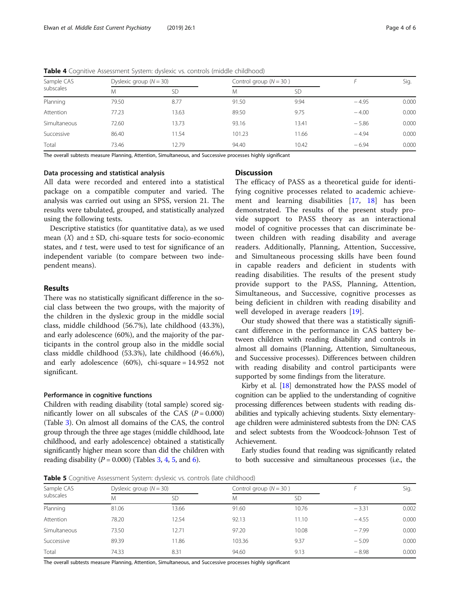| Sample CAS<br>subscales |       | Dyslexic group $(N = 30)$ |        | Control group $(N = 30)$ |         | Sig.  |
|-------------------------|-------|---------------------------|--------|--------------------------|---------|-------|
|                         | M     | SD                        | M      | <b>SD</b>                |         |       |
| Planning                | 79.50 | 8.77                      | 91.50  | 9.94                     | $-4.95$ | 0.000 |
| Attention               | 77.23 | 13.63                     | 89.50  | 9.75                     | $-4.00$ | 0.000 |
| Simultaneous            | 72.60 | 13.73                     | 93.16  | 13.41                    | $-5.86$ | 0.000 |
| Successive              | 86.40 | 11.54                     | 101.23 | 11.66                    | $-4.94$ | 0.000 |
| Total                   | 73.46 | 12.79                     | 94.40  | 10.42                    | $-6.94$ | 0.000 |

Table 4 Cognitive Assessment System: dyslexic vs. controls (middle childhood)

The overall subtests measure Planning, Attention, Simultaneous, and Successive processes highly significant

## Data processing and statistical analysis

All data were recorded and entered into a statistical package on a compatible computer and varied. The analysis was carried out using an SPSS, version 21. The results were tabulated, grouped, and statistically analyzed using the following tests.

Descriptive statistics (for quantitative data), as we used mean  $(X)$  and  $\pm$  SD, chi-square tests for socio-economic states, and  $t$  test, were used to test for significance of an independent variable (to compare between two independent means).

#### Results

There was no statistically significant difference in the social class between the two groups, with the majority of the children in the dyslexic group in the middle social class, middle childhood (56.7%), late childhood (43.3%), and early adolescence (60%), and the majority of the participants in the control group also in the middle social class middle childhood (53.3%), late childhood (46.6%), and early adolescence (60%), chi-square = 14.952 not significant.

## Performance in cognitive functions

Children with reading disability (total sample) scored significantly lower on all subscales of the CAS  $(P = 0.000)$ (Table [3\)](#page-2-0). On almost all domains of the CAS, the control group through the three age stages (middle childhood, late childhood, and early adolescence) obtained a statistically significantly higher mean score than did the children with reading disability ( $P = 0.000$ ) (Tables [3](#page-2-0), 4, 5, and [6](#page-4-0)).

## **Discussion**

The efficacy of PASS as a theoretical guide for identifying cognitive processes related to academic achievement and learning disabilities [[17](#page-5-0), [18\]](#page-5-0) has been demonstrated. The results of the present study provide support to PASS theory as an interactional model of cognitive processes that can discriminate between children with reading disability and average readers. Additionally, Planning, Attention, Successive, and Simultaneous processing skills have been found in capable readers and deficient in students with reading disabilities. The results of the present study provide support to the PASS, Planning, Attention, Simultaneous, and Successive, cognitive processes as being deficient in children with reading disability and well developed in average readers [[19\]](#page-5-0).

Our study showed that there was a statistically significant difference in the performance in CAS battery between children with reading disability and controls in almost all domains (Planning, Attention, Simultaneous, and Successive processes). Differences between children with reading disability and control participants were supported by some findings from the literature.

Kirby et al. [\[18\]](#page-5-0) demonstrated how the PASS model of cognition can be applied to the understanding of cognitive processing differences between students with reading disabilities and typically achieving students. Sixty elementaryage children were administered subtests from the DN: CAS and select subtests from the Woodcock-Johnson Test of Achievement.

Early studies found that reading was significantly related to both successive and simultaneous processes (i.e., the

**Table 5** Cognitive Assessment System: dyslexic vs. controls (late childhood)

|       | Dyslexic group $(N = 30)$ |        | Control group $(N = 30)$ |         | Sig.  |  |  |  |
|-------|---------------------------|--------|--------------------------|---------|-------|--|--|--|
| Μ     | <b>SD</b>                 | M      | <b>SD</b>                |         |       |  |  |  |
| 81.06 | 13.66                     | 91.60  | 10.76                    | $-3.31$ | 0.002 |  |  |  |
| 78.20 | 12.54                     | 92.13  | 11.10                    | $-4.55$ | 0.000 |  |  |  |
| 73.50 | 12.71                     | 97.20  | 10.08                    | $-7.99$ | 0.000 |  |  |  |
| 89.39 | 11.86                     | 103.36 | 9.37                     | $-5.09$ | 0.000 |  |  |  |
| 74.33 | 8.31                      | 94.60  | 9.13                     | $-8.98$ | 0.000 |  |  |  |
|       |                           |        |                          |         |       |  |  |  |

The overall subtests measure Planning, Attention, Simultaneous, and Successive processes highly significant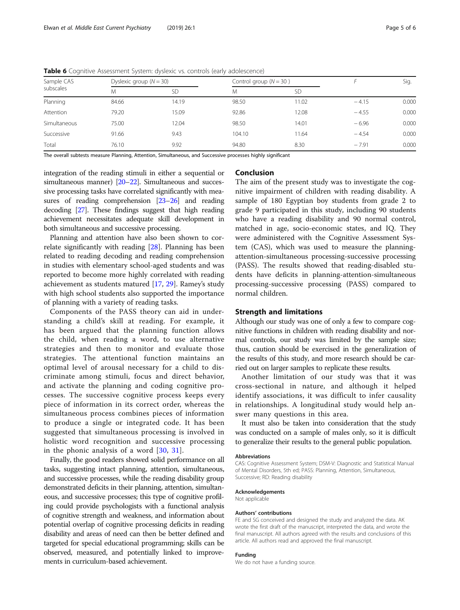| Sample CAS<br>subscales |       | Dyslexic group $(N = 30)$ |        | Control group $(N = 30)$ |         | Sig.  |
|-------------------------|-------|---------------------------|--------|--------------------------|---------|-------|
|                         | Μ     | <b>SD</b>                 | M      | SD                       |         |       |
| Planning                | 84.66 | 14.19                     | 98.50  | 11.02                    | $-4.15$ | 0.000 |
| Attention               | 79.20 | 15.09                     | 92.86  | 12.08                    | $-4.55$ | 0.000 |
| Simultaneous            | 75.00 | 12.04                     | 98.50  | 14.01                    | $-6.96$ | 0.000 |
| Successive              | 91.66 | 9.43                      | 104.10 | 11.64                    | $-4.54$ | 0.000 |
| Total                   | 76.10 | 9.92                      | 94.80  | 8.30                     | $-7.91$ | 0.000 |

<span id="page-4-0"></span>Table 6 Cognitive Assessment System: dyslexic vs. controls (early adolescence)

The overall subtests measure Planning, Attention, Simultaneous, and Successive processes highly significant

integration of the reading stimuli in either a sequential or simultaneous manner) [\[20](#page-5-0)–[22](#page-5-0)]. Simultaneous and successive processing tasks have correlated significantly with measures of reading comprehension [\[23](#page-5-0)–[26\]](#page-5-0) and reading decoding [\[27\]](#page-5-0). These findings suggest that high reading achievement necessitates adequate skill development in both simultaneous and successive processing.

Planning and attention have also been shown to correlate significantly with reading [[28\]](#page-5-0). Planning has been related to reading decoding and reading comprehension in studies with elementary school-aged students and was reported to become more highly correlated with reading achievement as students matured [[17,](#page-5-0) [29\]](#page-5-0). Ramey's study with high school students also supported the importance of planning with a variety of reading tasks.

Components of the PASS theory can aid in understanding a child's skill at reading. For example, it has been argued that the planning function allows the child, when reading a word, to use alternative strategies and then to monitor and evaluate those strategies. The attentional function maintains an optimal level of arousal necessary for a child to discriminate among stimuli, focus and direct behavior, and activate the planning and coding cognitive processes. The successive cognitive process keeps every piece of information in its correct order, whereas the simultaneous process combines pieces of information to produce a single or integrated code. It has been suggested that simultaneous processing is involved in holistic word recognition and successive processing in the phonic analysis of a word  $[30, 31]$  $[30, 31]$  $[30, 31]$  $[30, 31]$  $[30, 31]$ .

Finally, the good readers showed solid performance on all tasks, suggesting intact planning, attention, simultaneous, and successive processes, while the reading disability group demonstrated deficits in their planning, attention, simultaneous, and successive processes; this type of cognitive profiling could provide psychologists with a functional analysis of cognitive strength and weakness, and information about potential overlap of cognitive processing deficits in reading disability and areas of need can then be better defined and targeted for special educational programming; skills can be observed, measured, and potentially linked to improvements in curriculum-based achievement.

## Conclusion

The aim of the present study was to investigate the cognitive impairment of children with reading disability. A sample of 180 Egyptian boy students from grade 2 to grade 9 participated in this study, including 90 students who have a reading disability and 90 normal control, matched in age, socio-economic states, and IQ. They were administered with the Cognitive Assessment System (CAS), which was used to measure the planningattention-simultaneous processing-successive processing (PASS). The results showed that reading-disabled students have deficits in planning-attention-simultaneous processing-successive processing (PASS) compared to normal children.

## Strength and limitations

Although our study was one of only a few to compare cognitive functions in children with reading disability and normal controls, our study was limited by the sample size; thus, caution should be exercised in the generalization of the results of this study, and more research should be carried out on larger samples to replicate these results.

Another limitation of our study was that it was cross-sectional in nature, and although it helped identify associations, it was difficult to infer causality in relationships. A longitudinal study would help answer many questions in this area.

It must also be taken into consideration that the study was conducted on a sample of males only, so it is difficult to generalize their results to the general public population.

#### Abbreviations

CAS: Cognitive Assessment System; DSM-V: Diagnostic and Statistical Manual of Mental Disorders, 5th ed; PASS: Planning, Attention, Simultaneous, Successive; RD: Reading disability

#### Acknowledgements

Not applicable

#### Authors' contributions

FE and SG conceived and designed the study and analyzed the data. AK wrote the first draft of the manuscript, interpreted the data, and wrote the final manuscript. All authors agreed with the results and conclusions of this article. All authors read and approved the final manuscript.

## Funding

We do not have a funding source.